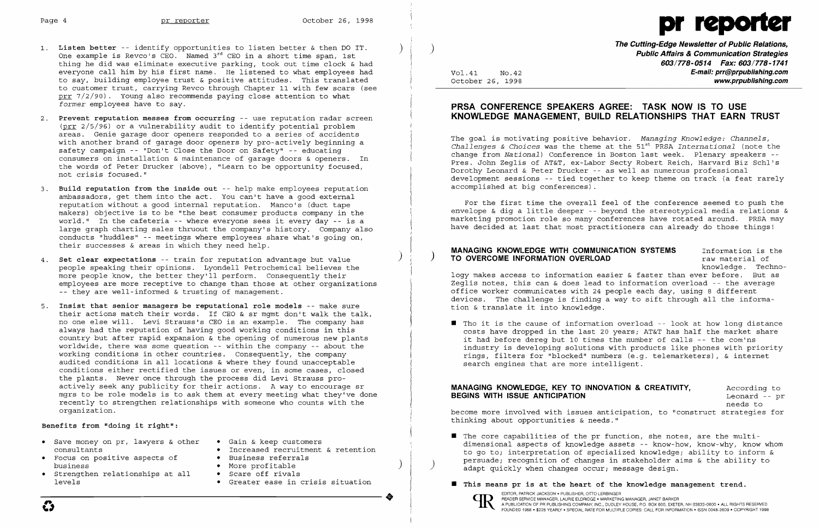- 1. **Listen better** -- identify opportunities to listen better & then DO IT. One example is Revco's CEO. Named  $3^{rd}$  CEO in a short time span, 1st thing he did was eliminate executive parking, took out time clock & had everyone call him by his first name. He listened to what employees had to say, building employee trust & positive attitudes. This translated to customer trust, carrying Revco through Chapter 11 with few scars (see  $prr$  7/2/90). Young also recommends paying close attention to what *former* employees have to say.
- 2. **Prevent reputation messes from occurring** -- use reputation radar screen (prr 2/5/96) or a vulnerability audit to identify potential problem areas. Genie garage door openers responded to a series of accidents with another brand of garage door openers by pro-actively beginning a safety campaign -- "Don't Close the Door on Safety" -- educating consumers on installation & maintenance of garage doors & openers. In the words of Peter Drucker (above), "Learn to be opportunity focused, not crisis focused."
- 3. **Build reputation from the inside out** -- help make employees reputation ambassadors, get them into the act. You can't have a good external reputation without a good internal reputation. Manco's (duct tape makers) objective is to be "the best consumer products company in the world." In the cafeteria -- where everyone sees it every day -- is a large graph charting sales thruout the company's history. Company also conducts "huddles" -- meetings where employees share what's going on, their successes & areas in which they need help.
- ) 4. **Set clear expectations** -- train for reputation advantage but value people speaking their opinions. Lyondell Petrochemical believes the more people know, the better they'll perform. Consequently their employees are more receptive to change than those at other organizations -- they are well-informed & trusting of management.
- 5. **Insist that senior managers be reputational role models** -- make sure their actions match their words. If CEO & sr mgmt don't walk the talk, no one else will. Levi Strauss's CEO is an example. The company has always had the reputation of having good working conditions in this country but after rapid expansion & the opening of numerous new plants worldwide, there was some question -- within the company -- about the working conditions in other countries. Consequently, the company audited conditions in all locations & where they found unacceptable conditions either rectified the issues or even, in some cases, closed the plants. Never once through the process did Levi Strauss proactively seek any publicity for their actions. A way to encourage sr mgrs to be role models is to ask them at every meeting what they've done recently to strengthen relationships with someone who counts with the organization.

The goal is motivating positive behavior. *Managing Knowledge: Channels,* 51s t *Challenges* & *Choices* was the theme at the PRSA *International* (note the change from *National)* Conference in Boston last week. Plenary speakers - Pres. John Zeglis of AT&T, ex-Labor Secty Robert Reich, Harvard Biz Schl's Dorothy Leonard & Peter Drucker -- as well as numerous professional development sessions -- tied together to keep theme on track (a feat rarely accomplished at big conferences) .

 $\blacksquare$  Tho it is the cause of information overload -- look at how long distance costs have dropped in the last 20 years; AT&T has half the market share it had before dereg but 10 times the number of calls -- the com'ns industry is developing solutions with products like phones with priority rings, filters for "blocked" numbers (e.g. telemarketers), & internet

dimensional aspects of knowledge assets -- know-how, know-why, know whom to go to; interpretation of specialized knowledge; ability to inform & persuade; recognition of changes in stakeholder aims & the ability to adapt quickly when changes occur; message design.

#### **Benefits from "doing it right":**

- Save money on pr, lawyers & other Gain & keep customers<br>consultants Increased recruitment
- Focus on positive aspects of<br>business
- • Strengthen relationships at all Scare off rivals
- 
- Increased recruitment & retention<br>• Business referrals
- 
- More profitable<br>• Scare off rivals
	-
	-

**----------------------+** EDITOR, PATRICKJACKSON· PUBLISHER, orro LERBINGER OD READER SERVICE MANAGER, LAURIE ELDRIDGE· MARKETING MANAGER, JANET BARKER EDITOR, PATRICK JACKSON • PUBLISHIR, OTTO LERBINGER<br>PEADER SERVICE MANAGER, LAURIE ELDRIDGE • MARKETING MANAGER, JANET BARKER, JANET BARKER, NH 03833-0600 • ALL RIGHTS RESERVED<br>FOUNDED 1958 • \$225 YEARLY • SPECIAL RATE FOR



# Page 4 **pr reporter** October 26, 1998 pr reporter October 26, 1998 pr reporter pr new october 26, 1998 pr new october 26, 1998 pr new october 26, 1998 pr new october 26, 1998 pr new october 26, 1998 pr new october 26, 1998

**The Cutting-Edge Newsletter of Public Relations,** ) **Public Affairs & Communication Strategies 603/778-0514 Fax: 603/778-1741**  Vol.41 No.42 **E-mail: prr@prpublishing.com**  October 26, 1998 **www.prpublishing.com** 

#### **PRSA CONFERENCE SPEAKERS AGREE: TASK NOW IS TO USE KNOWLEDGE MANAGEMENT, BUILD RELATIONSHIPS THAT EARN TRUST**

For the first time the overall feel of the conference seemed to push the envelope & dig a little deeper -- beyond the stereotypical media relations & marketing promotion role so many conferences have rotated around. PRSA may have decided at last that most practitioners can already do those things!

## **MANAGING KNOWLEDGE WITH COMMUNICATION SYSTEMS** Information is the **TO OVERCOME INFORMATION OVERLOAD raw material of**

knowledge. Techno-

logy makes access to information easier & faster than ever before. But as Zeglis notes, this can & does lead to information overload -- the average office worker communicates with 24 people each day, using 8 different devices. The challenge is finding a way to sift through all the information & translate it into knowledge.

search engines that are more intelligent.

#### **MANAGING KNOWLEDGE, KEY TO INNOVATION & CREATIVITY, According to BEGINS WITH ISSUE ANTICIPATION BEGINS WITH ISSUE ANTICIPATION**

needs to

become more involved with issues anticipation, to "construct strategies for thinking about opportunities & needs."

- I The core capabilities of the pr function, she notes, are the multi-
- **If** This means pr is at the heart of the knowledge management trend.